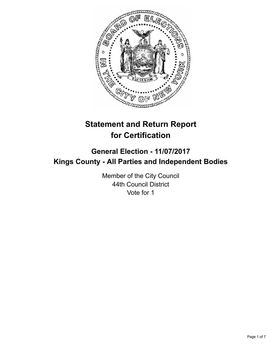

# **Statement and Return Report for Certification**

## **General Election - 11/07/2017 Kings County - All Parties and Independent Bodies**

Member of the City Council 44th Council District Vote for 1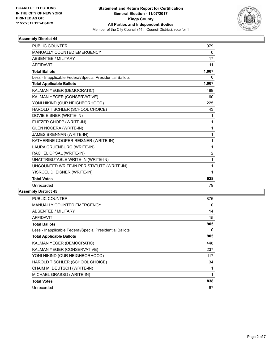

| <b>PUBLIC COUNTER</b>                                    | 979            |
|----------------------------------------------------------|----------------|
| <b>MANUALLY COUNTED EMERGENCY</b>                        | $\Omega$       |
| <b>ABSENTEE / MILITARY</b>                               | 17             |
| <b>AFFIDAVIT</b>                                         | 11             |
| <b>Total Ballots</b>                                     | 1,007          |
| Less - Inapplicable Federal/Special Presidential Ballots | 0              |
| <b>Total Applicable Ballots</b>                          | 1,007          |
| KALMAN YEGER (DEMOCRATIC)                                | 489            |
| KALMAN YEGER (CONSERVATIVE)                              | 160            |
| YONI HIKIND (OUR NEIGHBORHOOD)                           | 225            |
| HAROLD TISCHLER (SCHOOL CHOICE)                          | 43             |
| DOVIE EISNER (WRITE-IN)                                  | 1              |
| ELIEZER CHOPP (WRITE-IN)                                 | 1              |
| <b>GLEN NOCERA (WRITE-IN)</b>                            | $\mathbf 1$    |
| JAMES BRENNAN (WRITE-IN)                                 | 1              |
| KATHERINE COOPER REISNER (WRITE-IN)                      | 1              |
| LAURA GRUENBURG (WRITE-IN)                               | 1              |
| RACHEL OPSAL (WRITE-IN)                                  | $\overline{2}$ |
| UNATTRIBUTABLE WRITE-IN (WRITE-IN)                       | 1              |
| UNCOUNTED WRITE-IN PER STATUTE (WRITE-IN)                | 1              |
| YISROEL D. EISNER (WRITE-IN)                             | 1              |
| <b>Total Votes</b>                                       | 928            |
| Unrecorded                                               | 79             |

| <b>PUBLIC COUNTER</b>                                    | 876 |
|----------------------------------------------------------|-----|
| <b>MANUALLY COUNTED EMERGENCY</b>                        | 0   |
| ABSENTEE / MILITARY                                      | 14  |
| <b>AFFIDAVIT</b>                                         | 15  |
| Total Ballots                                            | 905 |
| Less - Inapplicable Federal/Special Presidential Ballots | 0   |
| <b>Total Applicable Ballots</b>                          | 905 |
| KALMAN YEGER (DEMOCRATIC)                                | 448 |
| KALMAN YEGER (CONSERVATIVE)                              | 237 |
| YONI HIKIND (OUR NEIGHBORHOOD)                           | 117 |
| HAROLD TISCHLER (SCHOOL CHOICE)                          | 34  |
| CHAIM M. DEUTSCH (WRITE-IN)                              | 1   |
| MICHAEL GRASSO (WRITE-IN)                                | 1   |
| <b>Total Votes</b>                                       | 838 |
| Unrecorded                                               | 67  |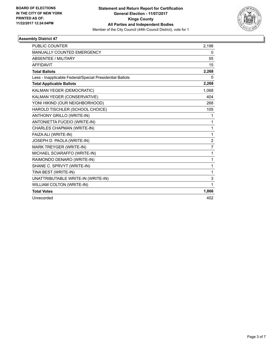

| <b>PUBLIC COUNTER</b>                                    | 2,198          |
|----------------------------------------------------------|----------------|
| <b>MANUALLY COUNTED EMERGENCY</b>                        | 0              |
| <b>ABSENTEE / MILITARY</b>                               | 55             |
| <b>AFFIDAVIT</b>                                         | 15             |
| <b>Total Ballots</b>                                     | 2,268          |
| Less - Inapplicable Federal/Special Presidential Ballots | 0              |
| <b>Total Applicable Ballots</b>                          | 2,268          |
| KALMAN YEGER (DEMOCRATIC)                                | 1,068          |
| KALMAN YEGER (CONSERVATIVE)                              | 404            |
| YONI HIKIND (OUR NEIGHBORHOOD)                           | 268            |
| HAROLD TISCHLER (SCHOOL CHOICE)                          | 105            |
| <b>ANTHONY GRILLO (WRITE-IN)</b>                         | 1              |
| ANTONIETTA FUCEIO (WRITE-IN)                             | 1              |
| CHARLES CHAPMAN (WRITE-IN)                               | 1              |
| FAIZA ALI (WRITE-IN)                                     | $\mathbf{1}$   |
| JOSEPH D. PAOLA (WRITE-IN)                               | $\overline{2}$ |
| MARK TREYGER (WRITE-IN)                                  | $\overline{7}$ |
| MICHAEL SCIARAFFO (WRITE-IN)                             | 1              |
| RAIMONDO DENARO (WRITE-IN)                               | 1              |
| SHANE C. SPRVYT (WRITE-IN)                               | 1              |
| TINA BEST (WRITE-IN)                                     | 1              |
| UNATTRIBUTABLE WRITE-IN (WRITE-IN)                       | 3              |
| <b>WILLIAM COLTON (WRITE-IN)</b>                         | 1              |
| <b>Total Votes</b>                                       | 1,866          |
| Unrecorded                                               | 402            |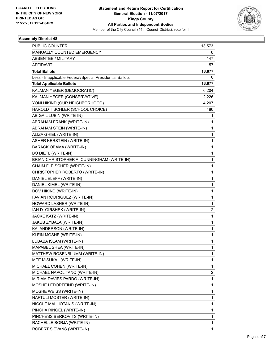

| <b>PUBLIC COUNTER</b>                                    | 13,573       |
|----------------------------------------------------------|--------------|
| MANUALLY COUNTED EMERGENCY                               | 0            |
| ABSENTEE / MILITARY                                      | 147          |
| <b>AFFIDAVIT</b>                                         | 157          |
| <b>Total Ballots</b>                                     | 13,877       |
| Less - Inapplicable Federal/Special Presidential Ballots | 0            |
| <b>Total Applicable Ballots</b>                          | 13,877       |
| KALMAN YEGER (DEMOCRATIC)                                | 6,204        |
| KALMAN YEGER (CONSERVATIVE)                              | 2,226        |
| YONI HIKIND (OUR NEIGHBORHOOD)                           | 4,207        |
| HAROLD TISCHLER (SCHOOL CHOICE)                          | 480          |
| ABIGAIL LUBIN (WRITE-IN)                                 | 1            |
| ABRAHAM FRANK (WRITE-IN)                                 | 1            |
| ABRAHAM STEIN (WRITE-IN)                                 | 1            |
| ALIZA GHIEL (WRITE-IN)                                   | 1            |
| ASHER KERSTEIN (WRITE-IN)                                | 1            |
| <b>BARACK OBAMA (WRITE-IN)</b>                           | 1            |
| <b>BO DIETL (WRITE-IN)</b>                               | 1            |
| BRIAN-CHRISTOPHER A. CUNNINGHAM (WRITE-IN)               | 1            |
| CHAIM FLEISCHER (WRITE-IN)                               | 1            |
| CHRISTOPHER ROBERTO (WRITE-IN)                           | 1            |
| DANIEL ELEFF (WRITE-IN)                                  | 1            |
| DANIEL KIMEL (WRITE-IN)                                  | $\mathbf{1}$ |
| DOV HIKIND (WRITE-IN)                                    | 1            |
| FAVIAN RODRIGUEZ (WRITE-IN)                              | 1            |
| HOWARD LASHER (WRITE-IN)                                 | $\mathbf{1}$ |
| IAN D. GIRSHEK (WRITE-IN)                                | 2            |
| JACKE KATZ (WRITE-IN)                                    | 1            |
| JAKUB ZYBALA (WRITE-IN)                                  | $\mathbf{1}$ |
| KAI ANDERSON (WRITE-IN)                                  | 1            |
| KLEIN MOSHE (WRITE-IN)                                   | 1            |
| LUBABA ISLAM (WRITE-IN)                                  | 1            |
| MAPABEL SHEA (WRITE-IN)                                  | 1            |
| MATTHEW ROSENBLUMM (WRITE-IN)                            | 1            |
| MEE MISUKAL (WRITE-IN)                                   | $\mathbf{1}$ |
| MICHAEL COHEN (WRITE-IN)                                 | 1            |
| MICHAEL NAPOLITANO (WRITE-IN)                            | 2            |
| MIRIAM DAVIES PARDO (WRITE-IN)                           | $\mathbf{1}$ |
| MOSHE LEDORFEIND (WRITE-IN)                              | $\mathbf{1}$ |
| MOSHE WEISS (WRITE-IN)                                   | 1            |
| NAFTULI MOSTER (WRITE-IN)                                | 1            |
| NICOLE MALLIOTAKIS (WRITE-IN)                            | 1            |
| PINCHA RINGEL (WRITE-IN)                                 | 1            |
| PINCHESS BERKOVITS (WRITE-IN)                            | 1            |
| RACHELLE BORJA (WRITE-IN)                                | 1            |
| ROBERT S EVANS (WRITE-IN)                                | 1            |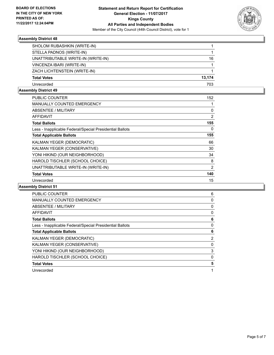

| SHOLOM RUBASHKIN (WRITE-IN)        |        |
|------------------------------------|--------|
| STELLA PADNOS (WRITE-IN)           |        |
| UNATTRIBUTABLE WRITE-IN (WRITE-IN) | 16     |
| VINCENZA IBARI (WRITE-IN)          |        |
| ZACH LICHTENSTEIN (WRITE-IN)       |        |
| <b>Total Votes</b>                 | 13.174 |
| Unrecorded                         | 703    |

#### **Assembly District 49**

| <b>PUBLIC COUNTER</b>                                    | 152            |
|----------------------------------------------------------|----------------|
| <b>MANUALLY COUNTED EMERGENCY</b>                        |                |
| ABSENTEE / MILITARY                                      | 0              |
| AFFIDAVIT                                                | $\overline{2}$ |
| <b>Total Ballots</b>                                     | 155            |
| Less - Inapplicable Federal/Special Presidential Ballots | 0              |
| <b>Total Applicable Ballots</b>                          | 155            |
| <b>KALMAN YEGER (DEMOCRATIC)</b>                         | 66             |
| KALMAN YEGER (CONSERVATIVE)                              | 30             |
| YONI HIKIND (OUR NEIGHBORHOOD)                           | 34             |
| HAROLD TISCHLER (SCHOOL CHOICE)                          | 8              |
| UNATTRIBUTABLE WRITE-IN (WRITE-IN)                       | 2              |
| <b>Total Votes</b>                                       | 140            |
| Unrecorded                                               | 15             |

| <b>PUBLIC COUNTER</b>                                    | 6 |
|----------------------------------------------------------|---|
| <b>MANUALLY COUNTED EMERGENCY</b>                        | 0 |
| ABSENTEE / MILITARY                                      | 0 |
| <b>AFFIDAVIT</b>                                         | 0 |
| <b>Total Ballots</b>                                     | 6 |
| Less - Inapplicable Federal/Special Presidential Ballots | 0 |
| <b>Total Applicable Ballots</b>                          | 6 |
| KALMAN YEGER (DEMOCRATIC)                                | 2 |
| KALMAN YEGER (CONSERVATIVE)                              | 0 |
| YONI HIKIND (OUR NEIGHBORHOOD)                           | 3 |
| HAROLD TISCHLER (SCHOOL CHOICE)                          | 0 |
| <b>Total Votes</b>                                       | 5 |
| Unrecorded                                               |   |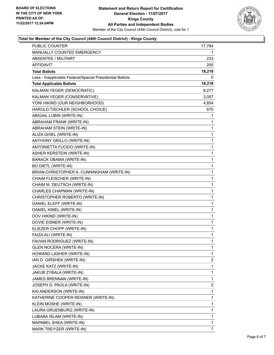

### **Total for Member of the City Council (44th Council District) - Kings County**

| PUBLIC COUNTER                                           | 17,784       |
|----------------------------------------------------------|--------------|
| MANUALLY COUNTED EMERGENCY                               | 1            |
| <b>ABSENTEE / MILITARY</b>                               | 233          |
| AFFIDAVIT                                                | 200          |
| <b>Total Ballots</b>                                     | 18,218       |
| Less - Inapplicable Federal/Special Presidential Ballots | 0            |
| <b>Total Applicable Ballots</b>                          | 18,218       |
| KALMAN YEGER (DEMOCRATIC)                                | 8,277        |
| KALMAN YEGER (CONSERVATIVE)                              | 3,057        |
| YONI HIKIND (OUR NEIGHBORHOOD)                           | 4,854        |
| HAROLD TISCHLER (SCHOOL CHOICE)                          | 670          |
| ABIGAIL LUBIN (WRITE-IN)                                 | 1            |
| ABRAHAM FRANK (WRITE-IN)                                 | 1            |
| ABRAHAM STEIN (WRITE-IN)                                 | 1            |
| ALIZA GHIEL (WRITE-IN)                                   | $\mathbf 1$  |
| <b>ANTHONY GRILLO (WRITE-IN)</b>                         | 1            |
| ANTONIETTA FUCEIO (WRITE-IN)                             | 1            |
| <b>ASHER KERSTEIN (WRITE-IN)</b>                         | 1            |
| BARACK OBAMA (WRITE-IN)                                  | 1            |
| <b>BO DIETL (WRITE-IN)</b>                               | $\mathbf 1$  |
| BRIAN-CHRISTOPHER A. CUNNINGHAM (WRITE-IN)               | $\mathbf 1$  |
| CHAIM FLEISCHER (WRITE-IN)                               | 1            |
| CHAIM M. DEUTSCH (WRITE-IN)                              | 1            |
| CHARLES CHAPMAN (WRITE-IN)                               | 1            |
| CHRISTOPHER ROBERTO (WRITE-IN)                           | 1            |
| DANIEL ELEFF (WRITE-IN)                                  | $\mathbf 1$  |
| DANIEL KIMEL (WRITE-IN)                                  | $\mathbf 1$  |
| DOV HIKIND (WRITE-IN)                                    | 1            |
| DOVIE EISNER (WRITE-IN)                                  | 1            |
| ELIEZER CHOPP (WRITE-IN)                                 | 1            |
| FAIZA ALI (WRITE-IN)                                     | 1            |
| FAVIAN RODRIGUEZ (WRITE-IN)                              | $\mathbf{1}$ |
| GLEN NOCERA (WRITE-IN)                                   | 1            |
| HOWARD LASHER (WRITE-IN)                                 | 1            |
| IAN D. GIRSHEK (WRITE-IN)                                | 2            |
| JACKE KATZ (WRITE-IN)                                    | 1            |
| JAKUB ZYBALA (WRITE-IN)                                  | 1            |
| JAMES BRENNAN (WRITE-IN)                                 | 1            |
| JOSEPH D. PAOLA (WRITE-IN)                               | 2            |
| KAI ANDERSON (WRITE-IN)                                  | 1            |
| KATHERINE COOPER REISNER (WRITE-IN)                      | 1            |
| KLEIN MOSHE (WRITE-IN)                                   | 1            |
| LAURA GRUENBURG (WRITE-IN)                               | 1            |
| LUBABA ISLAM (WRITE-IN)                                  | 1            |
| MAPABEL SHEA (WRITE-IN)                                  | 1            |
| MARK TREYGER (WRITE-IN)                                  | 7            |